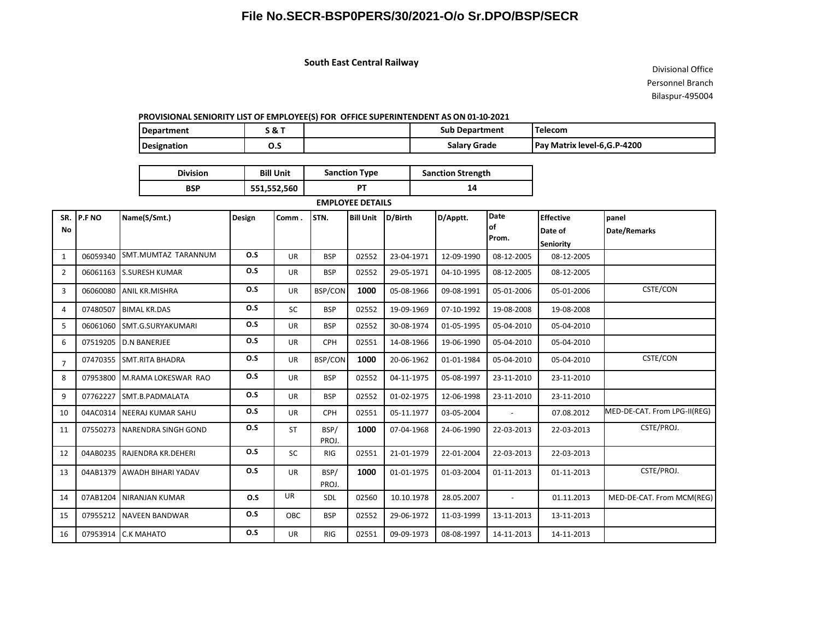# **File No.SECR-BSP0PERS/30/2021-O/o Sr.DPO/BSP/SECR**

### **South East Central Railway**

Divisional Office Personnel Branch Bilaspur-495004

#### **PROVISIONAL SENIORITY LIST OF EMPLOYEE(S) FOR OFFICE SUPERINTENDENT AS ON 01-10-2021**

| Department  | א כ | <b>Sub Department</b> | 'Telecom                     |
|-------------|-----|-----------------------|------------------------------|
| Designation | ບ.ວ | Salary Grade          | Pay Matrix level-6, G.P-4200 |

| <b>Division</b> | <b>Bill Unit</b> | <b>Sanction Type</b> | <b>Sanction Strength</b> |  |  |
|-----------------|------------------|----------------------|--------------------------|--|--|
| BSP             | 551,552,560      |                      | 14                       |  |  |

#### **EMPLOYEE DETAILS**

| SR.            | P.F NO   | Name(S/Smt.)               | Design | Comm.     | STN.           | <b>Bill Unit</b> | D/Birth    | D/Apptt.   | <b>Date</b>  | <b>Effective</b> | panel                        |
|----------------|----------|----------------------------|--------|-----------|----------------|------------------|------------|------------|--------------|------------------|------------------------------|
| No             |          |                            |        |           |                |                  |            |            | lof<br>Prom. | Date of          | Date/Remarks                 |
|                |          |                            |        |           |                |                  |            |            |              | <b>Seniority</b> |                              |
| $\mathbf{1}$   | 06059340 | SMT.MUMTAZ TARANNUM        | O.S    | <b>UR</b> | <b>BSP</b>     | 02552            | 23-04-1971 | 12-09-1990 | 08-12-2005   | 08-12-2005       |                              |
| $\overline{2}$ | 06061163 | <b>S.SURESH KUMAR</b>      | O.S    | <b>UR</b> | <b>BSP</b>     | 02552            | 29-05-1971 | 04-10-1995 | 08-12-2005   | 08-12-2005       |                              |
| 3              | 06060080 | <b>ANIL KR.MISHRA</b>      | 0.5    | <b>UR</b> | <b>BSP/CON</b> | 1000             | 05-08-1966 | 09-08-1991 | 05-01-2006   | 05-01-2006       | CSTE/CON                     |
| $\overline{4}$ | 07480507 | <b>BIMAL KR.DAS</b>        | 0.5    | <b>SC</b> | <b>BSP</b>     | 02552            | 19-09-1969 | 07-10-1992 | 19-08-2008   | 19-08-2008       |                              |
| 5              | 06061060 | SMT.G.SURYAKUMARI          | 0.5    | <b>UR</b> | <b>BSP</b>     | 02552            | 30-08-1974 | 01-05-1995 | 05-04-2010   | 05-04-2010       |                              |
| 6              | 07519205 | <b>D.N BANERJEE</b>        | 0.5    | <b>UR</b> | <b>CPH</b>     | 02551            | 14-08-1966 | 19-06-1990 | 05-04-2010   | 05-04-2010       |                              |
| $\overline{7}$ | 07470355 | <b>SMT.RITA BHADRA</b>     | 0.5    | <b>UR</b> | <b>BSP/CON</b> | 1000             | 20-06-1962 | 01-01-1984 | 05-04-2010   | 05-04-2010       | CSTE/CON                     |
| 8              | 07953800 | M.RAMA LOKESWAR RAO        | O.S    | <b>UR</b> | <b>BSP</b>     | 02552            | 04-11-1975 | 05-08-1997 | 23-11-2010   | 23-11-2010       |                              |
| 9              | 07762227 | SMT.B.PADMALATA            | O.S    | <b>UR</b> | <b>BSP</b>     | 02552            | 01-02-1975 | 12-06-1998 | 23-11-2010   | 23-11-2010       |                              |
| 10             | 04AC0314 | <b>NEERAJ KUMAR SAHU</b>   | O.S    | <b>UR</b> | <b>CPH</b>     | 02551            | 05-11.1977 | 03-05-2004 |              | 07.08.2012       | MED-DE-CAT. From LPG-II(REG) |
| 11             | 07550273 | <b>NARENDRA SINGH GOND</b> | O.S    | <b>ST</b> | BSP/<br>PROJ.  | 1000             | 07-04-1968 | 24-06-1990 | 22-03-2013   | 22-03-2013       | CSTE/PROJ.                   |
| 12             | 04AB0235 | RAJENDRA KR.DEHERI         | O.S    | <b>SC</b> | <b>RIG</b>     | 02551            | 21-01-1979 | 22-01-2004 | 22-03-2013   | 22-03-2013       |                              |
| 13             | 04AB1379 | AWADH BIHARI YADAV         | 0.5    | <b>UR</b> | BSP/<br>PROJ.  | 1000             | 01-01-1975 | 01-03-2004 | 01-11-2013   | 01-11-2013       | CSTE/PROJ.                   |
| 14             | 07AB1204 | <b>NIRANJAN KUMAR</b>      | O.S    | <b>UR</b> | <b>SDL</b>     | 02560            | 10.10.1978 | 28.05.2007 | $\sim$       | 01.11.2013       | MED-DE-CAT. From MCM(REG)    |
| 15             | 07955212 | <b>NAVEEN BANDWAR</b>      | O.S    | OBC       | <b>BSP</b>     | 02552            | 29-06-1972 | 11-03-1999 | 13-11-2013   | 13-11-2013       |                              |
| 16             | 07953914 | <b>C.K MAHATO</b>          | O.S    | <b>UR</b> | <b>RIG</b>     | 02551            | 09-09-1973 | 08-08-1997 | 14-11-2013   | 14-11-2013       |                              |